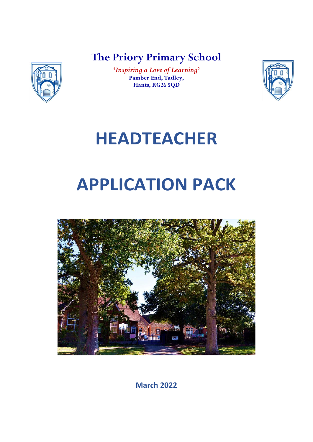**The Priory Primary School**



**'***Inspiring a Love of Learning***' Pamber End, Tadley, Hants, RG26 5QD**



# **HEADTEACHER**

# **APPLICATION PACK**



**March 2022**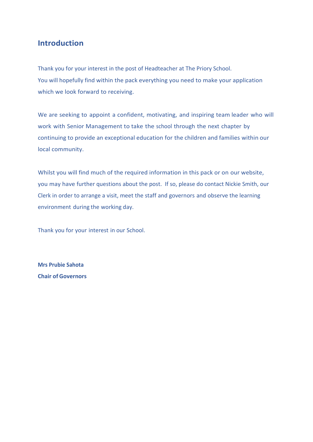# **Introduction**

Thank you for your interest in the post of Headteacher at The Priory School. You will hopefully find within the pack everything you need to make your application which we look forward to receiving.

We are seeking to appoint a confident, motivating, and inspiring team leader who will work with Senior Management to take the school through the next chapter by continuing to provide an exceptional education for the children and families within our local community.

Whilst you will find much of the required information in this pack or on our website, you may have further questions about the post. If so, please do contact Nickie Smith, our Clerk in order to arrange a visit, meet the staff and governors and observe the learning environment during the working day.

Thank you for your interest in our School.

**Mrs Prubie Sahota Chair of Governors**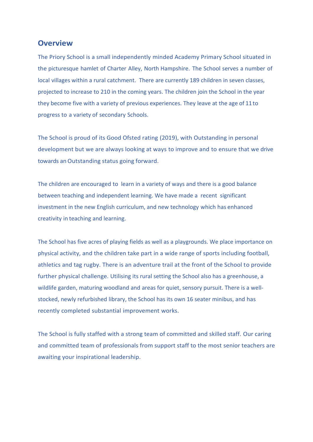#### **Overview**

The Priory School is a small independently minded Academy Primary School situated in the picturesque hamlet of Charter Alley, North Hampshire. The School serves a number of local villages within a rural catchment. There are currently 189 children in seven classes, projected to increase to 210 in the coming years. The children join the School in the year they become five with a variety of previous experiences. They leave at the age of 11 to progress to a variety of secondary Schools.

The School is proud of its Good Ofsted rating (2019), with Outstanding in personal development but we are always looking at ways to improve and to ensure that we drive towards anOutstanding status going forward.

The children are encouraged to learn in a variety of ways and there is a good balance between teaching and independent learning. We have made a recent significant investment in the new English curriculum, and new technology which has enhanced creativity in teaching and learning.

The School has five acres of playing fields as well as a playgrounds. We place importance on physical activity, and the children take part in a wide range of sports including football, athletics and tag rugby. There is an adventure trail at the front of the School to provide further physical challenge. Utilising its rural setting the School also has a greenhouse, a wildlife garden, maturing woodland and areas for quiet, sensory pursuit. There is a wellstocked, newly refurbished library, the School has its own 16 seater minibus, and has recently completed substantial improvement works.

The School is fully staffed with a strong team of committed and skilled staff. Our caring and committed team of professionals from support staff to the most senior teachers are awaiting your inspirational leadership.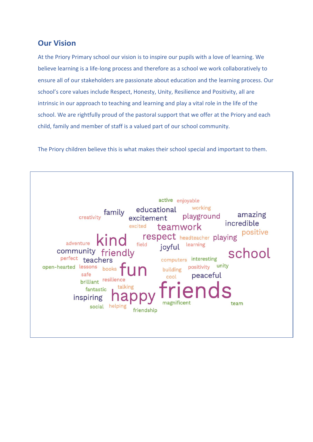# **Our Vision**

At the Priory Primary school our vision is to inspire our pupils with a love of learning. We believe learning is a life-long process and therefore as a school we work collaboratively to ensure all of our stakeholders are passionate about education and the learning process. Our school's core values include Respect, Honesty, Unity, Resilience and Positivity, all are intrinsic in our approach to teaching and learning and play a vital role in the life of the school. We are rightfully proud of the pastoral support that we offer at the Priory and each child, family and member of staff is a valued part of our school community.

The Priory children believe this is what makes their school special and important to them.

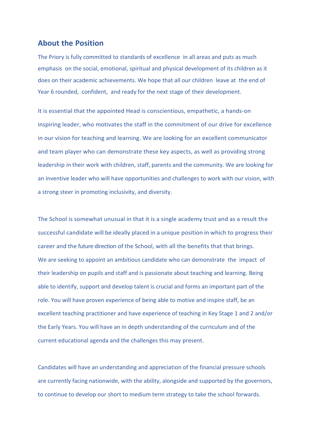#### **About the Position**

The Priory is fully committed to standards of excellence in all areas and puts as much emphasis on the social, emotional, spiritual and physical development of its children as it does on their academic achievements. We hope that all our children leave at the end of Year 6 rounded, confident, and ready for the next stage of their development.

It is essential that the appointed Head is conscientious, empathetic, a hands-on inspiring leader, who motivates the staff in the commitment of our drive for excellence in our vision for teaching and learning. We are looking for an excellent communicator and team player who can demonstrate these key aspects, as well as providing strong leadership in their work with children, staff, parents and the community. We are looking for an inventive leader who will have opportunities and challenges to work with our vision, with a strong steer in promoting inclusivity, and diversity.

The School is somewhat unusual in that it is a single academy trust and as a result the successful candidate will be ideally placed in a unique position in which to progress their career and the future direction of the School, with all the benefits that that brings. We are seeking to appoint an ambitious candidate who can demonstrate the impact of their leadership on pupils and staff and is passionate about teaching and learning. Being able to identify, support and develop talent is crucial and forms an important part of the role. You will have proven experience of being able to motive and inspire staff, be an excellent teaching practitioner and have experience of teaching in Key Stage 1 and 2 and/or the Early Years. You will have an in depth understanding of the curriculum and of the current educational agenda and the challenges this may present.

Candidates will have an understanding and appreciation of the financial pressure schools are currently facing nationwide, with the ability, alongside and supported by the governors, to continue to develop our short to medium term strategy to take the school forwards.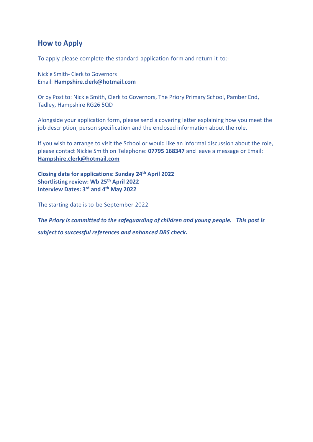# **How to Apply**

To apply please complete the standard application form and return it to:-

Nickie Smith- Clerk to Governors Email: **Hampshire.clerk@hotmail.com**

Or by Post to: Nickie Smith, Clerk to Governors, The Priory Primary School, Pamber End, Tadley, Hampshire RG26 5QD

Alongside your application form, please send a covering letter explaining how you meet the job description, person specification and the enclosed information about the role.

If you wish to arrange to visit the School or would like an informal discussion about the role, please contact Nickie Smith on Telephone: **07795 168347** and leave a message or Email: **[Hampshire.clerk@hotmail.com](mailto:Hampshire.clerk@hotmail.com)**

**Closing date for applications: Sunday 24 th April 2022 Shortlisting review: Wb 25 th April 2022 Interview Dates: 3 rd and 4 th May 2022**

The starting date is to be September 2022

*The Priory is committed to the safeguarding of children and young people. This post is* 

*subject to successful references and enhanced DBS check.*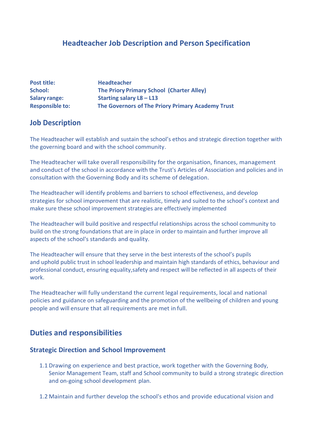# **Headteacher Job Description and Person Specification**

| <b>Post title:</b>     | <b>Headteacher</b>                                |
|------------------------|---------------------------------------------------|
| School:                | The Priory Primary School (Charter Alley)         |
| <b>Salary range:</b>   | Starting salary $L8 - L13$                        |
| <b>Responsible to:</b> | The Governors of The Priory Primary Academy Trust |

# **Job Description**

The Headteacher will establish and sustain the school's ethos and strategic direction together with the governing board and with the school community.

The Headteacher will take overall responsibility for the organisation, finances, management and conduct of the school in accordance with the Trust's Articles of Association and policies and in consultation with the Governing Body and its scheme of delegation.

The Headteacher will identify problems and barriers to school effectiveness, and develop strategies for school improvement that are realistic, timely and suited to the school's context and make sure these school improvement strategies are effectively implemented

The Headteacher will build positive and respectful relationships across the school community to build on the strong foundations that are in place in order to maintain and further improve all aspects of the school's standards and quality.

The Headteacher will ensure that they serve in the best interests of the school's pupils and uphold public trust in school leadership and maintain high standards of ethics, behaviour and professional conduct, ensuring equality,safety and respect will be reflected in all aspects of their work.

The Headteacher will fully understand the current legal requirements, local and national policies and guidance on safeguarding and the promotion of the wellbeing of children and young people and will ensure that allrequirements are met in full.

# **Duties and responsibilities**

#### **Strategic Direction and School Improvement**

- 1.1 Drawing on experience and best practice, work together with the Governing Body, Senior Management Team, staff and School community to build a strong strategic direction and on-going school development plan.
- 1.2 Maintain and further develop the school's ethos and provide educational vision and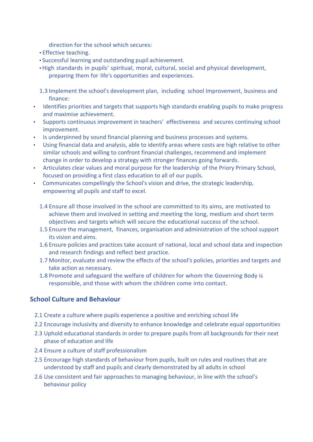direction for the school which secures:

- Effective teaching.
- Successful learning and outstanding pupil achievement.
- High standards in pupils' spiritual, moral, cultural, social and physical development, preparing them for life's opportunities and experiences.
- 1.3 Implement the school's development plan, including school Improvement, business and finance:
- Identifies priorities and targets that supports high standards enabling pupils to make progress and maximise achievement.
- Supports continuous improvement in teachers' effectiveness and secures continuing school improvement.
- Is underpinned by sound financial planning and business processes and systems.
- Using financial data and analysis, able to identify areas where costs are high relative to other similar schools and willing to confront financial challenges, recommend and implement change in order to develop a strategy with stronger finances going forwards.
- Articulates clear values and moral purpose for the leadership of the Priory Primary School, focused on providing a first class education to all of our pupils.
- Communicates compellingly the School's vision and drive, the strategic leadership, empowering all pupils and staff to excel.
	- 1.4 Ensure all those involved in the school are committed to its aims, are motivated to achieve them and involved in setting and meeting the long, medium and short term objectives and targets which will secure the educational success of the school.
	- 1.5 Ensure the management, finances, organisation and administration of the school support its vision and aims.
	- 1.6 Ensure policies and practices take account of national, local and school data and inspection and research findings and reflect best practice.
	- 1.7 Monitor, evaluate and review the effects of the school's policies, priorities and targets and take action as necessary.
	- 1.8 Promote and safeguard the welfare of children for whom the Governing Body is responsible, and those with whom the children come into contact.

#### **School Culture and Behaviour**

- 2.1 Create a culture where pupils experience a positive and enriching school life
- 2.2 Encourage inclusivity and diversity to enhance knowledge and celebrate equal opportunities
- 2.3 Uphold educational standards in order to prepare pupils from all backgrounds for their next phase of education and life
- 2.4 Ensure a culture of staff professionalism
- 2.5 Encourage high standards of behaviour from pupils, built on rules and routines that are understood by staff and pupils and clearly demonstrated by all adults in school
- 2.6 Use consistent and fair approaches to managing behaviour, in line with the school's behaviour policy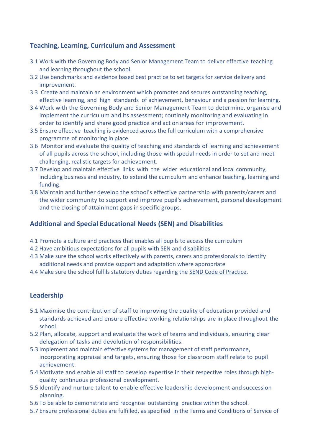# **Teaching, Learning, Curriculum and Assessment**

- 3.1 Work with the Governing Body and Senior Management Team to deliver effective teaching and learning throughout the school.
- 3.2 Use benchmarks and evidence based best practice to set targets for service delivery and improvement.
- 3.3 Create and maintain an environment which promotes and secures outstanding teaching, effective learning, and high standards of achievement, behaviour and a passion for learning.
- 3.4 Work with the Governing Body and Senior Management Team to determine, organise and implement the curriculum and its assessment; routinely monitoring and evaluating in order to identify and share good practice and act on areas for improvement.
- 3.5 Ensure effective teaching is evidenced across the full curriculum with a comprehensive programme of monitoring in place.
- 3.6 Monitor and evaluate the quality of teaching and standards of learning and achievement of all pupils across the school, including those with special needs in order to set and meet challenging, realistic targets for achievement.
- 3.7 Develop and maintain effective links with the wider educational and local community, including business and industry, to extend the curriculum and enhance teaching, learning and funding.
- 3.8 Maintain and further develop the school's effective partnership with parents/carers and the wider community to support and improve pupil's achievement, personal development and the closing of attainment gaps in specific groups.

# **Additional and Special Educational Needs (SEN) and Disabilities**

- 4.1 Promote a culture and practices that enables all pupils to access the curriculum
- 4.2 Have ambitious expectations for all pupils with SEN and disabilities
- 4.3 Make sure the school works effectively with parents, carers and professionals to identify additional needs and provide support and adaptation where appropriate
- 4.4 Make sure the school fulfils statutory duties regarding the **SEND Code of Practice**.

# **Leadership**

- 5.1 Maximise the contribution of staff to improving the quality of education provided and standards achieved and ensure effective working relationships are in place throughout the school.
- 5.2 Plan, allocate, support and evaluate the work of teams and individuals, ensuring clear delegation of tasks and devolution of responsibilities.
- 5.3 Implement and maintain effective systems for management of staff performance, incorporating appraisal and targets, ensuring those for classroom staff relate to pupil achievement.
- 5.4 Motivate and enable all staff to develop expertise in their respective roles through highquality continuous professional development.
- 5.5 Identify and nurture talent to enable effective leadership development and succession planning.
- 5.6 To be able to demonstrate and recognise outstanding practice within the school.
- 5.7 Ensure professional duties are fulfilled, as specified in the Terms and Conditions of Service of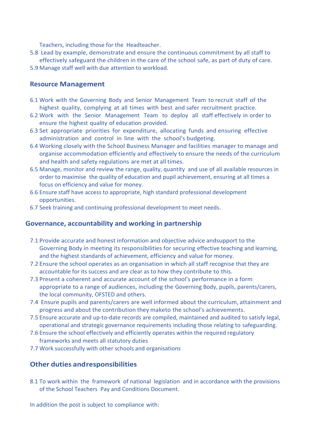Teachers, including those for the Headteacher.

- 5.8 Lead by example, demonstrate and ensure the continuous commitment by all staff to effectively safeguard the children in the care of the school safe, as part of duty of care.
- 5.9 Manage staff well with due attention to workload.

#### **Resource Management**

- 6.1 Work with the Governing Body and Senior Management Team to recruit staff of the highest quality, complying at all times with best and safer recruitment practice.
- 6.2 Work with the Senior Management Team to deploy all staff effectively in order to ensure the highest quality of education provided.
- 6.3 Set appropriate priorities for expenditure, allocating funds and ensuring effective administration and control in line with the school's budgeting.
- 6.4 Working closely with the School Business Manager and facilities manager to manage and organise accommodation efficiently and effectively to ensure the needs of the curriculum and health and safety regulations are met at all times.
- 6.5 Manage, monitor and review the range, quality, quantity and use of all available resources in order to maximise the quality of education and pupil achievement, ensuring at all times a focus on efficiency and value for money.
- 6.6 Ensure staff have access to appropriate, high standard professional development opportunities.
- 6.7 Seek training and continuing professional development to meet needs.

#### **Governance, accountability and working in partnership**

- 7.1 Provide accurate and honest information and objective advice andsupport to the Governing Body in meeting its responsibilities for securing effective teaching and learning, and the highest standards of achievement, efficiency and value for money.
- 7.2 Ensure the school operates as an organisation in which all staff recognise that they are accountable for its success and are clear as to how they contribute to this.
- 7.3 Present a coherent and accurate account of the school's performance in a form appropriate to a range of audiences, including the Governing Body, pupils, parents/carers, the local community, OFSTED and others.
- 7.4 Ensure pupils and parents/carers are well informed about the curriculum, attainment and progress and about the contribution they maketo the school's achievements.
- 7.5 Ensure accurate and up-to-date records are compiled, maintained and audited to satisfy legal, operational and strategic governance requirements including those relating to safeguarding.
- 7.6 Ensure the school effectively and efficiently operates within the required regulatory frameworks and meets all statutory duties
- 7.7 Work successfully with other schools and organisations

#### **Other duties andresponsibilities**

8.1 To work within the framework of national legislation and in accordance with the provisions of the School Teachers Pay and Conditions Document.

In addition the post is subject to compliance with: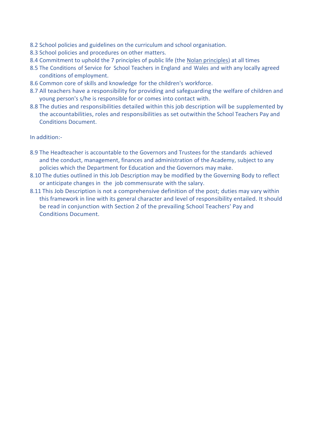- 8.2 School policies and guidelines on the curriculum and school organisation.
- 8.3 School policies and procedures on other matters.
- 8.4 Commitment to uphold the 7 principles of public life (the [Nolan principles\)](https://www.gov.uk/government/publications/the-7-principles-of-public-life) at all times
- 8.5 The Conditions of Service for School Teachers in England and Wales and with any locally agreed conditions of employment.
- 8.6 Common core of skills and knowledge for the children's workforce.
- 8.7 All teachers have a responsibility for providing and safeguarding the welfare of children and young person's s/he is responsible for or comes into contact with.
- 8.8 The duties and responsibilities detailed within this job description will be supplemented by the accountabilities, roles and responsibilities as set outwithin the School Teachers Pay and Conditions Document.

In addition:-

- 8.9 The Headteacher is accountable to the Governors and Trustees for the standards achieved and the conduct, management, finances and administration of the Academy, subject to any policies which the Department for Education and the Governors may make.
- 8.10 The duties outlined in this Job Description may be modified by the Governing Body to reflect or anticipate changes in the job commensurate with the salary.
- 8.11 This Job Description is not a comprehensive definition of the post; duties may vary within this framework in line with its general character and level of responsibility entailed. It should be read in conjunction with Section 2 of the prevailing School Teachers' Pay and Conditions Document.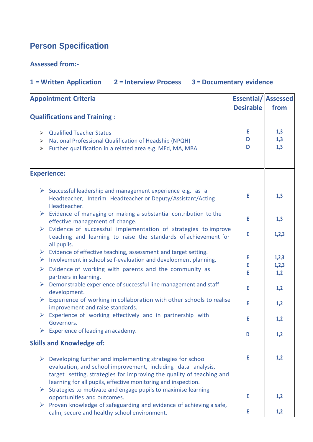# **Person Specification**

# **Assessed from:-**

# **1** = **Written Application 2** = **Interview Process 3** = **Documentary evidence**

|                                           | <b>Appointment Criteria</b>                                                                                                                                                                                                                                        | <b>Essential/ Assessed</b> |                   |
|-------------------------------------------|--------------------------------------------------------------------------------------------------------------------------------------------------------------------------------------------------------------------------------------------------------------------|----------------------------|-------------------|
|                                           |                                                                                                                                                                                                                                                                    | <b>Desirable</b>           | from              |
|                                           | <b>Qualifications and Training:</b>                                                                                                                                                                                                                                |                            |                   |
| $\triangleright$<br>$\blacktriangleright$ | ▶ Qualified Teacher Status<br>National Professional Qualification of Headship (NPQH)<br>Further qualification in a related area e.g. MEd, MA, MBA                                                                                                                  | Е<br>D<br>D                | 1,3<br>1,3<br>1,3 |
|                                           | <b>Experience:</b>                                                                                                                                                                                                                                                 |                            |                   |
|                                           | $\triangleright$ Successful leadership and management experience e.g. as a<br>Headteacher, Interim Headteacher or Deputy/Assistant/Acting<br>Headteacher.                                                                                                          | E                          | 1,3               |
|                                           | $\triangleright$ Evidence of managing or making a substantial contribution to the<br>effective management of change.                                                                                                                                               | E                          | 1,3               |
|                                           | > Evidence of successful implementation of strategies to improve<br>teaching and learning to raise the standards of achievement for<br>all pupils.                                                                                                                 | E                          | 1,2,3             |
|                                           | $\triangleright$ Evidence of effective teaching, assessment and target setting.<br>$\triangleright$ Involvement in school self-evaluation and development planning.                                                                                                | E.<br>E                    | 1,2,3<br>1,2,3    |
|                                           | $\triangleright$ Evidence of working with parents and the community as<br>partners in learning.                                                                                                                                                                    | E                          | 1,2               |
|                                           | $\triangleright$ Demonstrable experience of successful line management and staff<br>development.                                                                                                                                                                   | E                          | 1,2               |
|                                           | $\triangleright$ Experience of working in collaboration with other schools to realise<br>improvement and raise standards.                                                                                                                                          | E                          | 1,2               |
| $\blacktriangleright$                     | Experience of working effectively and in partnership with<br>Governors.                                                                                                                                                                                            | E                          | 1,2               |
|                                           | Experience of leading an academy.                                                                                                                                                                                                                                  | D                          | 1,2               |
|                                           | <b>Skills and Knowledge of:</b>                                                                                                                                                                                                                                    |                            |                   |
| $\blacktriangleright$                     | Developing further and implementing strategies for school<br>evaluation, and school improvement, including data analysis,<br>target setting, strategies for improving the quality of teaching and<br>learning for all pupils, effective monitoring and inspection. | E                          | 1,2               |
|                                           | Strategies to motivate and engage pupils to maximise learning<br>opportunities and outcomes.                                                                                                                                                                       | E                          | 1,2               |
|                                           | $\triangleright$ Proven knowledge of safeguarding and evidence of achieving a safe,<br>calm, secure and healthy school environment.                                                                                                                                | E                          | 1,2               |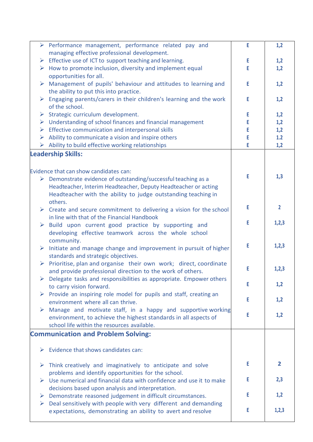|                       | $\triangleright$ Performance management, performance related pay and                 | E  | 1,2            |
|-----------------------|--------------------------------------------------------------------------------------|----|----------------|
|                       | managing effective professional development.                                         |    |                |
| $\blacktriangleright$ | Effective use of ICT to support teaching and learning.                               | E  | 1,2            |
|                       | $\triangleright$ How to promote inclusion, diversity and implement equal             | E. | 1,2            |
|                       | opportunities for all.                                                               |    |                |
| ➤                     | Management of pupils' behaviour and attitudes to learning and                        | E  | 1,2            |
|                       | the ability to put this into practice.                                               |    |                |
|                       | $\triangleright$ Engaging parents/carers in their children's learning and the work   | E  | 1,2            |
|                       | of the school.                                                                       |    |                |
| ➤                     | Strategic curriculum development.                                                    | E  | 1,2            |
|                       | $\triangleright$ Understanding of school finances and financial management           | Ε  | 1,2            |
| $\blacktriangleright$ | Effective communication and interpersonal skills                                     | E  | 1,2            |
| ➤                     | Ability to communicate a vision and inspire others                                   | Е  | 1.2            |
|                       | $\triangleright$ Ability to build effective working relationships                    | Ε  | 1,2            |
|                       | <b>Leadership Skills:</b>                                                            |    |                |
|                       |                                                                                      |    |                |
|                       |                                                                                      |    |                |
|                       | Evidence that can show candidates can:                                               | E  | 1,3            |
|                       | $\triangleright$ Demonstrate evidence of outstanding/successful teaching as a        |    |                |
|                       | Headteacher, Interim Headteacher, Deputy Headteacher or acting                       |    |                |
|                       | Headteacher with the ability to judge outstanding teaching in                        |    |                |
|                       | others.                                                                              |    |                |
|                       | $\triangleright$ Create and secure commitment to delivering a vision for the school  | E  | $\overline{2}$ |
|                       | in line with that of the Financial Handbook                                          |    |                |
|                       | $\triangleright$ Build upon current good practice by supporting and                  | E. | 1,2,3          |
|                       | developing effective teamwork across the whole school                                |    |                |
|                       | community.                                                                           |    |                |
| $\blacktriangleright$ | Initiate and manage change and improvement in pursuit of higher                      | E  | 1,2,3          |
|                       | standards and strategic objectives.                                                  |    |                |
| $\blacktriangleright$ | Prioritise, plan and organise their own work; direct, coordinate                     |    |                |
|                       |                                                                                      | Ε  | 1,2,3          |
|                       | and provide professional direction to the work of others.                            |    |                |
|                       | Delegate tasks and responsibilities as appropriate. Empower others                   | E  | 1,2            |
|                       | to carry vision forward.                                                             |    |                |
| ➤                     | Provide an inspiring role model for pupils and staff, creating an                    | E  | 1,2            |
|                       | environment where all can thrive.                                                    |    |                |
| ➤                     | Manage and motivate staff, in a happy and supportive working                         | E  |                |
|                       | environment, to achieve the highest standards in all aspects of                      |    | 1,2            |
|                       | school life within the resources available.                                          |    |                |
|                       | <b>Communication and Problem Solving:</b>                                            |    |                |
|                       |                                                                                      |    |                |
|                       | $\triangleright$ Evidence that shows candidates can:                                 |    |                |
|                       |                                                                                      |    |                |
|                       | $\triangleright$ Think creatively and imaginatively to anticipate and solve          | E. | 2              |
|                       | problems and identify opportunities for the school.                                  |    |                |
|                       | $\triangleright$ Use numerical and financial data with confidence and use it to make |    | 2,3            |
|                       | decisions based upon analysis and interpretation.                                    |    |                |
|                       |                                                                                      | Е  | 1,2            |
|                       | $\triangleright$ Demonstrate reasoned judgement in difficult circumstances.          |    |                |
| ➤                     | Deal sensitively with people with very different and demanding                       | Е  | 1,2,3          |
|                       | expectations, demonstrating an ability to avert and resolve                          |    |                |
|                       |                                                                                      |    |                |